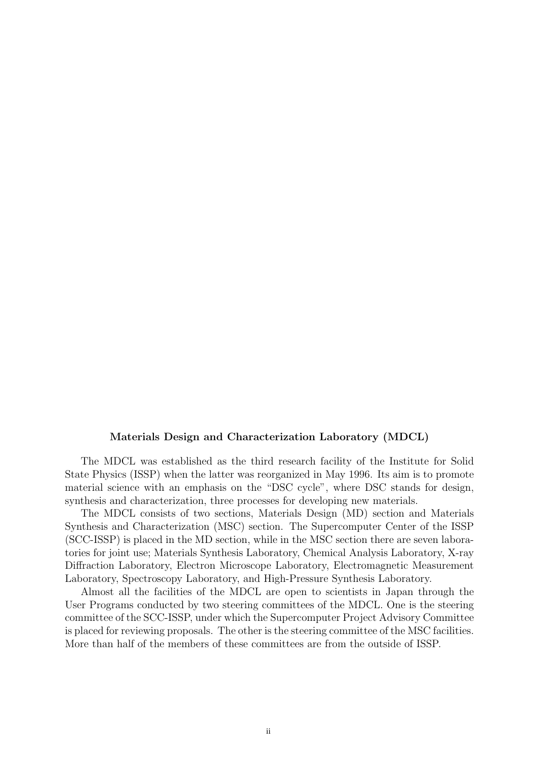## Materials Design and Characterization Laboratory (MDCL)

The MDCL was established as the third research facility of the Institute for Solid State Physics (ISSP) when the latter was reorganized in May 1996. Its aim is to promote material science with an emphasis on the "DSC cycle", where DSC stands for design, synthesis and characterization, three processes for developing new materials.

The MDCL consists of two sections, Materials Design (MD) section and Materials Synthesis and Characterization (MSC) section. The Supercomputer Center of the ISSP (SCC-ISSP) is placed in the MD section, while in the MSC section there are seven laboratories for joint use; Materials Synthesis Laboratory, Chemical Analysis Laboratory, X-ray Diffraction Laboratory, Electron Microscope Laboratory, Electromagnetic Measurement Laboratory, Spectroscopy Laboratory, and High-Pressure Synthesis Laboratory.

Almost all the facilities of the MDCL are open to scientists in Japan through the User Programs conducted by two steering committees of the MDCL. One is the steering committee of the SCC-ISSP, under which the Supercomputer Project Advisory Committee is placed for reviewing proposals. The other is the steering committee of the MSC facilities. More than half of the members of these committees are from the outside of ISSP.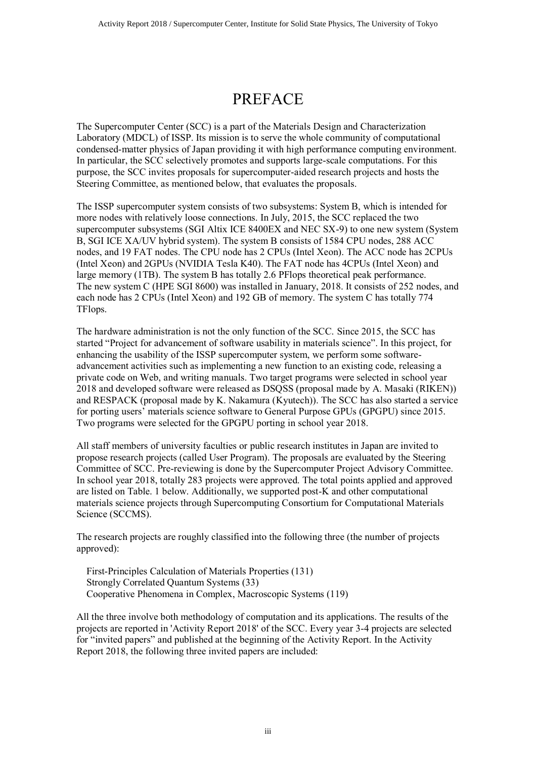## PREFACE

The Supercomputer Center (SCC) is a part of the Materials Design and Characterization Laboratory (MDCL) of ISSP. Its mission is to serve the whole community of computational condensed-matter physics of Japan providing it with high performance computing environment. In particular, the SCC selectively promotes and supports large-scale computations. For this purpose, the SCC invites proposals for supercomputer-aided research projects and hosts the Steering Committee, as mentioned below, that evaluates the proposals.

The ISSP supercomputer system consists of two subsystems: System B, which is intended for more nodes with relatively loose connections. In July, 2015, the SCC replaced the two supercomputer subsystems (SGI Altix ICE 8400EX and NEC SX-9) to one new system (System B, SGI ICE XA/UV hybrid system). The system B consists of 1584 CPU nodes, 288 ACC nodes, and 19 FAT nodes. The CPU node has 2 CPUs (Intel Xeon). The ACC node has 2CPUs (Intel Xeon) and 2GPUs (NVIDIA Tesla K40). The FAT node has 4CPUs (Intel Xeon) and large memory (1TB). The system B has totally 2.6 PFlops theoretical peak performance. The new system C (HPE SGI 8600) was installed in January, 2018. It consists of 252 nodes, and each node has 2 CPUs (Intel Xeon) and 192 GB of memory. The system C has totally 774 TFlops.

The hardware administration is not the only function of the SCC. Since 2015, the SCC has started "Project for advancement of software usability in materials science". In this project, for enhancing the usability of the ISSP supercomputer system, we perform some softwareadvancement activities such as implementing a new function to an existing code, releasing a private code on Web, and writing manuals. Two target programs were selected in school year 2018 and developed software were released as DSQSS (proposal made by A. Masaki (RIKEN)) and RESPACK (proposal made by K. Nakamura (Kyutech)). The SCC has also started a service for porting users' materials science software to General Purpose GPUs (GPGPU) since 2015. Two programs were selected for the GPGPU porting in school year 2018.

All staff members of university faculties or public research institutes in Japan are invited to propose research projects (called User Program). The proposals are evaluated by the Steering Committee of SCC. Pre-reviewing is done by the Supercomputer Project Advisory Committee. In school year 2018, totally 283 projects were approved. The total points applied and approved are listed on Table. 1 below. Additionally, we supported post-K and other computational materials science projects through Supercomputing Consortium for Computational Materials Science (SCCMS).

The research projects are roughly classified into the following three (the number of projects approved):

 First-Principles Calculation of Materials Properties (131) Strongly Correlated Quantum Systems (33) Cooperative Phenomena in Complex, Macroscopic Systems (119)

All the three involve both methodology of computation and its applications. The results of the projects are reported in 'Activity Report 2018' of the SCC. Every year 3-4 projects are selected for "invited papers" and published at the beginning of the Activity Report. In the Activity Report 2018, the following three invited papers are included: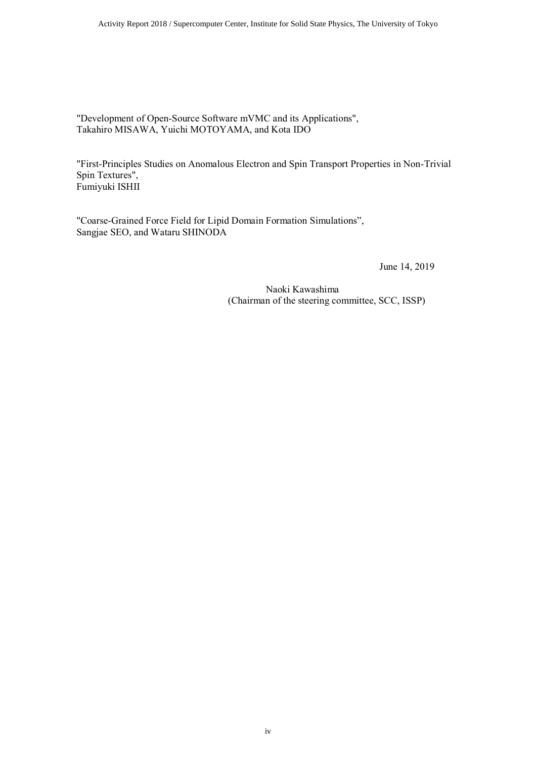Activity Report 2018 / Supercomputer Center, Institute for Solid State Physics, The University of Tokyo

"Development of Open-Source Software mVMC and its Applications", Takahiro MISAWA, Yuichi MOTOYAMA, and Kota IDO

"First-Principles Studies on Anomalous Electron and Spin Transport Properties in Non-Trivial Spin Textures", Fumiyuki ISHII

"Coarse-Grained Force Field for Lipid Domain Formation Simulations", Sangjae SEO, and Wataru SHINODA

June 14, 2019

Naoki Kawashima (Chairman of the steering committee, SCC, ISSP)